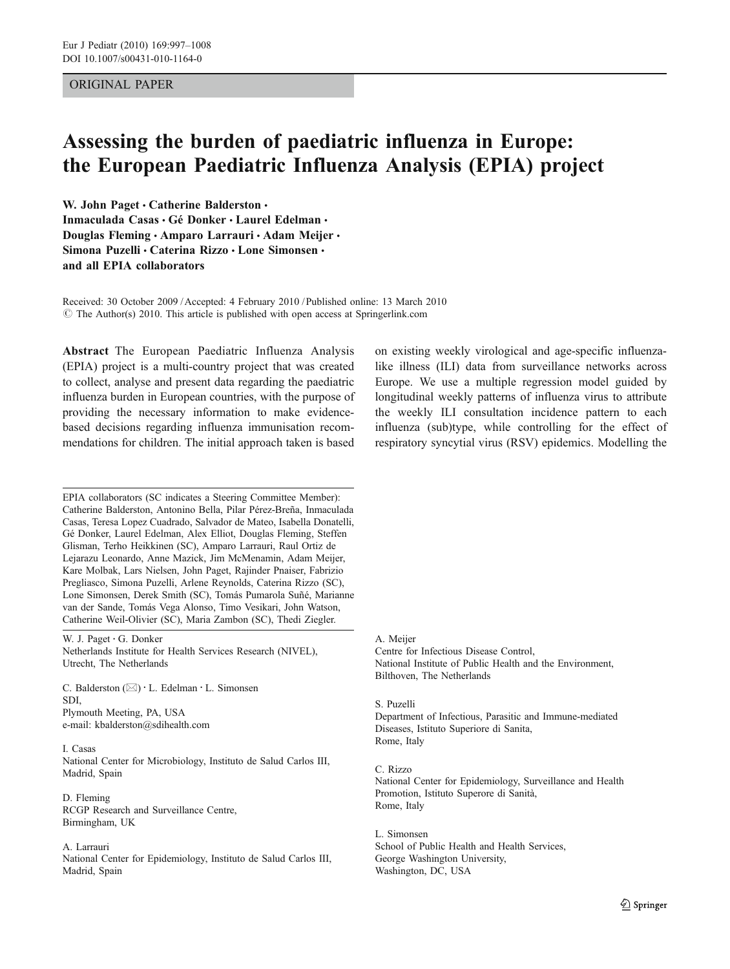# ORIGINAL PAPER

# Assessing the burden of paediatric influenza in Europe: the European Paediatric Influenza Analysis (EPIA) project

W. John Paget · Catherine Balderston · Inmaculada Casas · Gé Donker · Laurel Edelman · Douglas Fleming · Amparo Larrauri · Adam Meijer · Simona Puzelli · Caterina Rizzo · Lone Simonsen · and all EPIA collaborators

Received: 30 October 2009 /Accepted: 4 February 2010 / Published online: 13 March 2010  $\odot$  The Author(s) 2010. This article is published with open access at Springerlink.com

Abstract The European Paediatric Influenza Analysis (EPIA) project is a multi-country project that was created to collect, analyse and present data regarding the paediatric influenza burden in European countries, with the purpose of providing the necessary information to make evidencebased decisions regarding influenza immunisation recommendations for children. The initial approach taken is based on existing weekly virological and age-specific influenzalike illness (ILI) data from surveillance networks across Europe. We use a multiple regression model guided by longitudinal weekly patterns of influenza virus to attribute the weekly ILI consultation incidence pattern to each influenza (sub)type, while controlling for the effect of respiratory syncytial virus (RSV) epidemics. Modelling the

EPIA collaborators (SC indicates a Steering Committee Member): Catherine Balderston, Antonino Bella, Pilar Pérez-Breña, Inmaculada Casas, Teresa Lopez Cuadrado, Salvador de Mateo, Isabella Donatelli, Gé Donker, Laurel Edelman, Alex Elliot, Douglas Fleming, Steffen Glisman, Terho Heikkinen (SC), Amparo Larrauri, Raul Ortiz de Lejarazu Leonardo, Anne Mazick, Jim McMenamin, Adam Meijer, Kare Molbak, Lars Nielsen, John Paget, Rajinder Pnaiser, Fabrizio Pregliasco, Simona Puzelli, Arlene Reynolds, Caterina Rizzo (SC), Lone Simonsen, Derek Smith (SC), Tomás Pumarola Suñé, Marianne van der Sande, Tomás Vega Alonso, Timo Vesikari, John Watson, Catherine Weil-Olivier (SC), Maria Zambon (SC), Thedi Ziegler.

W. J. Paget : G. Donker Netherlands Institute for Health Services Research (NIVEL), Utrecht, The Netherlands

C. Balderston  $(\boxtimes) \cdot$  L. Edelman  $\cdot$  L. Simonsen SDI, Plymouth Meeting, PA, USA e-mail: kbalderston@sdihealth.com

I. Casas National Center for Microbiology, Instituto de Salud Carlos III, Madrid, Spain

D. Fleming RCGP Research and Surveillance Centre, Birmingham, UK

#### A. Larrauri

National Center for Epidemiology, Instituto de Salud Carlos III, Madrid, Spain

A. Meijer

Centre for Infectious Disease Control, National Institute of Public Health and the Environment, Bilthoven, The Netherlands

S. Puzelli

Department of Infectious, Parasitic and Immune-mediated Diseases, Istituto Superiore di Sanita, Rome, Italy

C. Rizzo

National Center for Epidemiology, Surveillance and Health Promotion, Istituto Superore di Sanità, Rome, Italy

L. Simonsen School of Public Health and Health Services, George Washington University, Washington, DC, USA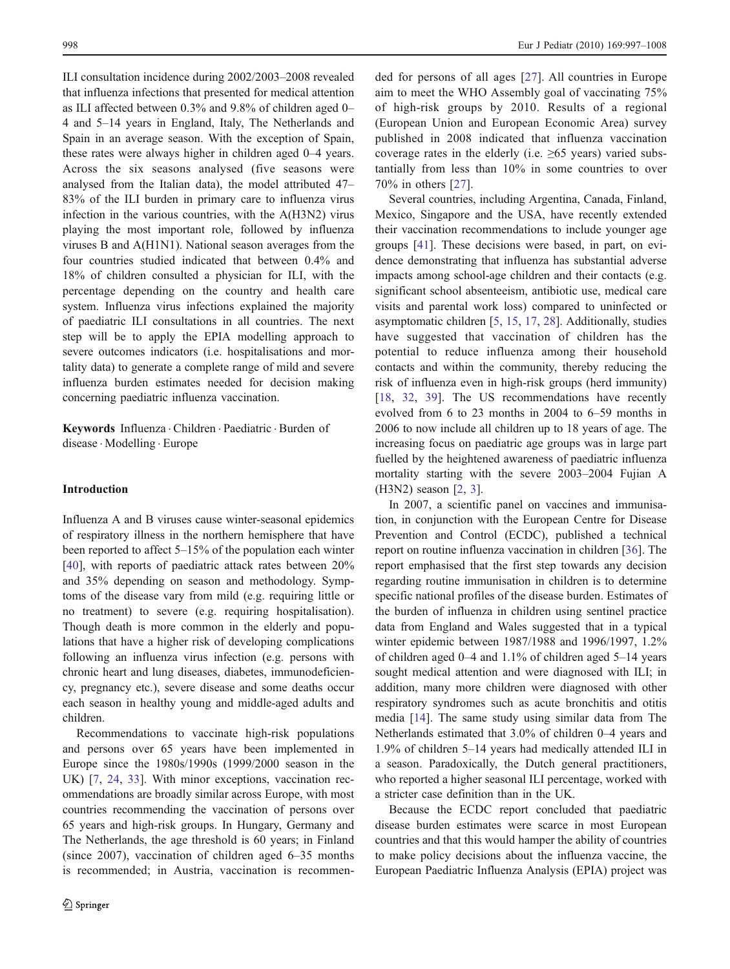ILI consultation incidence during 2002/2003–2008 revealed that influenza infections that presented for medical attention as ILI affected between 0.3% and 9.8% of children aged 0– 4 and 5–14 years in England, Italy, The Netherlands and Spain in an average season. With the exception of Spain, these rates were always higher in children aged 0–4 years. Across the six seasons analysed (five seasons were analysed from the Italian data), the model attributed 47– 83% of the ILI burden in primary care to influenza virus infection in the various countries, with the A(H3N2) virus playing the most important role, followed by influenza viruses B and A(H1N1). National season averages from the four countries studied indicated that between 0.4% and 18% of children consulted a physician for ILI, with the percentage depending on the country and health care system. Influenza virus infections explained the majority of paediatric ILI consultations in all countries. The next step will be to apply the EPIA modelling approach to severe outcomes indicators (i.e. hospitalisations and mortality data) to generate a complete range of mild and severe influenza burden estimates needed for decision making concerning paediatric influenza vaccination.

Keywords Influenza . Children . Paediatric . Burden of disease . Modelling . Europe

# Introduction

Influenza A and B viruses cause winter-seasonal epidemics of respiratory illness in the northern hemisphere that have been reported to affect 5–15% of the population each winter [\[40](#page-11-0)], with reports of paediatric attack rates between 20% and 35% depending on season and methodology. Symptoms of the disease vary from mild (e.g. requiring little or no treatment) to severe (e.g. requiring hospitalisation). Though death is more common in the elderly and populations that have a higher risk of developing complications following an influenza virus infection (e.g. persons with chronic heart and lung diseases, diabetes, immunodeficiency, pregnancy etc.), severe disease and some deaths occur each season in healthy young and middle-aged adults and children.

Recommendations to vaccinate high-risk populations and persons over 65 years have been implemented in Europe since the 1980s/1990s (1999/2000 season in the UK) [[7,](#page-10-0) [24,](#page-10-0) [33](#page-11-0)]. With minor exceptions, vaccination recommendations are broadly similar across Europe, with most countries recommending the vaccination of persons over 65 years and high-risk groups. In Hungary, Germany and The Netherlands, the age threshold is 60 years; in Finland (since 2007), vaccination of children aged 6–35 months is recommended; in Austria, vaccination is recommended for persons of all ages [\[27\]](#page-10-0). All countries in Europe aim to meet the WHO Assembly goal of vaccinating 75% of high-risk groups by 2010. Results of a regional (European Union and European Economic Area) survey published in 2008 indicated that influenza vaccination coverage rates in the elderly (i.e.  $\geq 65$  years) varied substantially from less than 10% in some countries to over 70% in others [\[27\]](#page-10-0).

Several countries, including Argentina, Canada, Finland, Mexico, Singapore and the USA, have recently extended their vaccination recommendations to include younger age groups [\[41](#page-11-0)]. These decisions were based, in part, on evidence demonstrating that influenza has substantial adverse impacts among school-age children and their contacts (e.g. significant school absenteeism, antibiotic use, medical care visits and parental work loss) compared to uninfected or asymptomatic children [[5,](#page-10-0) [15,](#page-10-0) [17](#page-10-0), [28\]](#page-10-0). Additionally, studies have suggested that vaccination of children has the potential to reduce influenza among their household contacts and within the community, thereby reducing the risk of influenza even in high-risk groups (herd immunity) [\[18](#page-10-0), [32](#page-11-0), [39](#page-11-0)]. The US recommendations have recently evolved from 6 to 23 months in 2004 to 6–59 months in 2006 to now include all children up to 18 years of age. The increasing focus on paediatric age groups was in large part fuelled by the heightened awareness of paediatric influenza mortality starting with the severe 2003–2004 Fujian A (H3N2) season [\[2](#page-10-0), [3\]](#page-10-0).

In 2007, a scientific panel on vaccines and immunisation, in conjunction with the European Centre for Disease Prevention and Control (ECDC), published a technical report on routine influenza vaccination in children [[36\]](#page-11-0). The report emphasised that the first step towards any decision regarding routine immunisation in children is to determine specific national profiles of the disease burden. Estimates of the burden of influenza in children using sentinel practice data from England and Wales suggested that in a typical winter epidemic between 1987/1988 and 1996/1997, 1.2% of children aged 0–4 and 1.1% of children aged 5–14 years sought medical attention and were diagnosed with ILI; in addition, many more children were diagnosed with other respiratory syndromes such as acute bronchitis and otitis media [[14\]](#page-10-0). The same study using similar data from The Netherlands estimated that 3.0% of children 0–4 years and 1.9% of children 5–14 years had medically attended ILI in a season. Paradoxically, the Dutch general practitioners, who reported a higher seasonal ILI percentage, worked with a stricter case definition than in the UK.

Because the ECDC report concluded that paediatric disease burden estimates were scarce in most European countries and that this would hamper the ability of countries to make policy decisions about the influenza vaccine, the European Paediatric Influenza Analysis (EPIA) project was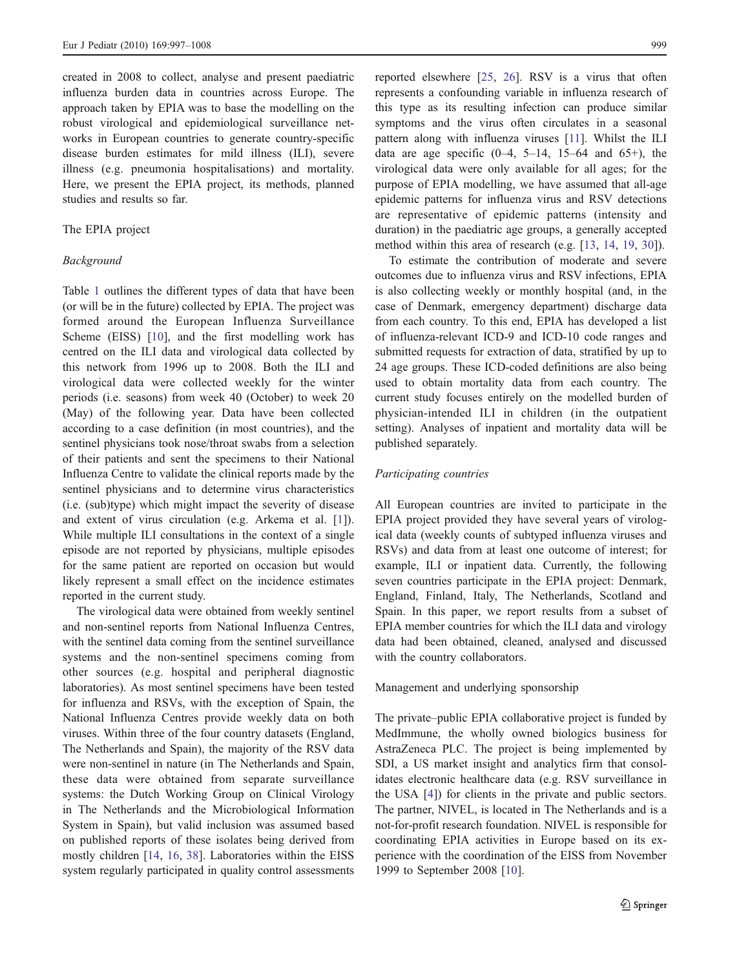created in 2008 to collect, analyse and present paediatric influenza burden data in countries across Europe. The approach taken by EPIA was to base the modelling on the robust virological and epidemiological surveillance networks in European countries to generate country-specific disease burden estimates for mild illness (ILI), severe illness (e.g. pneumonia hospitalisations) and mortality. Here, we present the EPIA project, its methods, planned studies and results so far.

# The EPIA project

#### Background

Table [1](#page-3-0) outlines the different types of data that have been (or will be in the future) collected by EPIA. The project was formed around the European Influenza Surveillance Scheme (EISS) [[10\]](#page-10-0), and the first modelling work has centred on the ILI data and virological data collected by this network from 1996 up to 2008. Both the ILI and virological data were collected weekly for the winter periods (i.e. seasons) from week 40 (October) to week 20 (May) of the following year. Data have been collected according to a case definition (in most countries), and the sentinel physicians took nose/throat swabs from a selection of their patients and sent the specimens to their National Influenza Centre to validate the clinical reports made by the sentinel physicians and to determine virus characteristics (i.e. (sub)type) which might impact the severity of disease and extent of virus circulation (e.g. Arkema et al. [\[1](#page-10-0)]). While multiple ILI consultations in the context of a single episode are not reported by physicians, multiple episodes for the same patient are reported on occasion but would likely represent a small effect on the incidence estimates reported in the current study.

The virological data were obtained from weekly sentinel and non-sentinel reports from National Influenza Centres, with the sentinel data coming from the sentinel surveillance systems and the non-sentinel specimens coming from other sources (e.g. hospital and peripheral diagnostic laboratories). As most sentinel specimens have been tested for influenza and RSVs, with the exception of Spain, the National Influenza Centres provide weekly data on both viruses. Within three of the four country datasets (England, The Netherlands and Spain), the majority of the RSV data were non-sentinel in nature (in The Netherlands and Spain, these data were obtained from separate surveillance systems: the Dutch Working Group on Clinical Virology in The Netherlands and the Microbiological Information System in Spain), but valid inclusion was assumed based on published reports of these isolates being derived from mostly children [\[14](#page-10-0), [16](#page-10-0), [38](#page-11-0)]. Laboratories within the EISS system regularly participated in quality control assessments reported elsewhere [[25,](#page-10-0) [26\]](#page-10-0). RSV is a virus that often represents a confounding variable in influenza research of this type as its resulting infection can produce similar symptoms and the virus often circulates in a seasonal pattern along with influenza viruses [\[11\]](#page-10-0). Whilst the ILI data are age specific  $(0-4, 5-14, 15-64, 65+)$ , the virological data were only available for all ages; for the purpose of EPIA modelling, we have assumed that all-age epidemic patterns for influenza virus and RSV detections are representative of epidemic patterns (intensity and duration) in the paediatric age groups, a generally accepted method within this area of research (e.g. [[13](#page-10-0), [14](#page-10-0), [19,](#page-10-0) [30\]](#page-11-0)).

To estimate the contribution of moderate and severe outcomes due to influenza virus and RSV infections, EPIA is also collecting weekly or monthly hospital (and, in the case of Denmark, emergency department) discharge data from each country. To this end, EPIA has developed a list of influenza-relevant ICD-9 and ICD-10 code ranges and submitted requests for extraction of data, stratified by up to 24 age groups. These ICD-coded definitions are also being used to obtain mortality data from each country. The current study focuses entirely on the modelled burden of physician-intended ILI in children (in the outpatient setting). Analyses of inpatient and mortality data will be published separately.

#### Participating countries

All European countries are invited to participate in the EPIA project provided they have several years of virological data (weekly counts of subtyped influenza viruses and RSVs) and data from at least one outcome of interest; for example, ILI or inpatient data. Currently, the following seven countries participate in the EPIA project: Denmark, England, Finland, Italy, The Netherlands, Scotland and Spain. In this paper, we report results from a subset of EPIA member countries for which the ILI data and virology data had been obtained, cleaned, analysed and discussed with the country collaborators.

## Management and underlying sponsorship

The private–public EPIA collaborative project is funded by MedImmune, the wholly owned biologics business for AstraZeneca PLC. The project is being implemented by SDI, a US market insight and analytics firm that consolidates electronic healthcare data (e.g. RSV surveillance in the USA [[4\]](#page-10-0)) for clients in the private and public sectors. The partner, NIVEL, is located in The Netherlands and is a not-for-profit research foundation. NIVEL is responsible for coordinating EPIA activities in Europe based on its experience with the coordination of the EISS from November 1999 to September 2008 [\[10](#page-10-0)].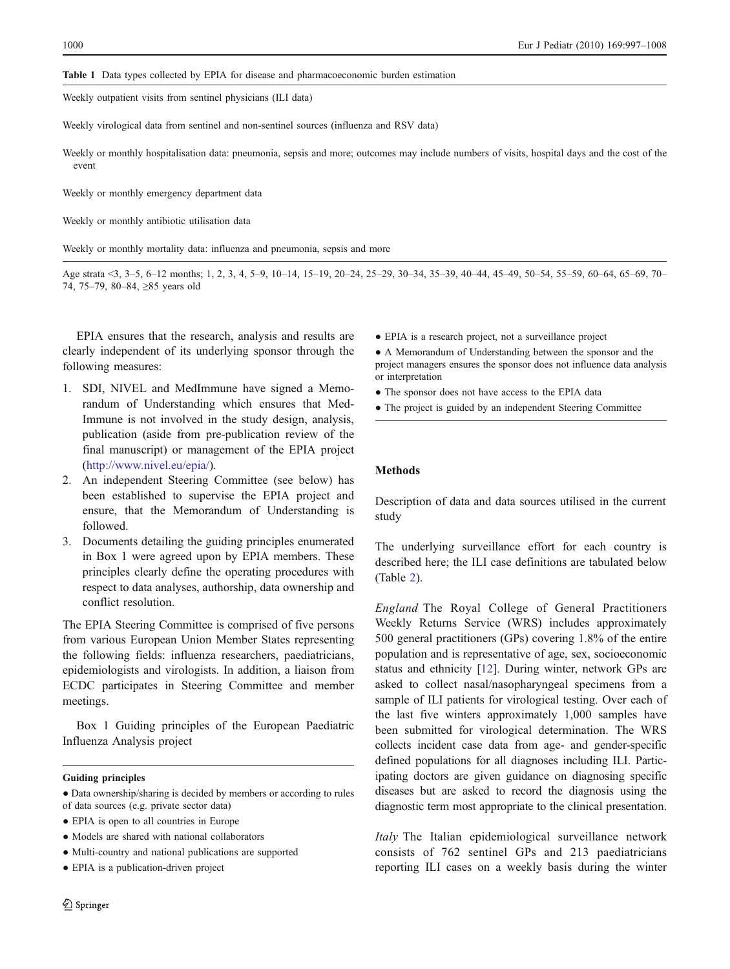<span id="page-3-0"></span>Table 1 Data types collected by EPIA for disease and pharmacoeconomic burden estimation

Weekly outpatient visits from sentinel physicians (ILI data)

Weekly virological data from sentinel and non-sentinel sources (influenza and RSV data)

Weekly or monthly hospitalisation data: pneumonia, sepsis and more; outcomes may include numbers of visits, hospital days and the cost of the event

Weekly or monthly emergency department data

Weekly or monthly antibiotic utilisation data

Weekly or monthly mortality data: influenza and pneumonia, sepsis and more

Age strata <3, 3–5, 6–12 months; 1, 2, 3, 4, 5–9, 10–14, 15–19, 20–24, 25–29, 30–34, 35–39, 40–44, 45–49, 50–54, 55–59, 60–64, 65–69, 70– 74, 75–79, 80–84, ≥85 years old

EPIA ensures that the research, analysis and results are clearly independent of its underlying sponsor through the following measures:

- 1. SDI, NIVEL and MedImmune have signed a Memorandum of Understanding which ensures that Med-Immune is not involved in the study design, analysis, publication (aside from pre-publication review of the final manuscript) or management of the EPIA project (http://www.nivel.eu/epia/).
- 2. An independent Steering Committee (see below) has been established to supervise the EPIA project and ensure, that the Memorandum of Understanding is followed.
- 3. Documents detailing the guiding principles enumerated in Box 1 were agreed upon by EPIA members. These principles clearly define the operating procedures with respect to data analyses, authorship, data ownership and conflict resolution.

The EPIA Steering Committee is comprised of five persons from various European Union Member States representing the following fields: influenza researchers, paediatricians, epidemiologists and virologists. In addition, a liaison from ECDC participates in Steering Committee and member meetings.

Box 1 Guiding principles of the European Paediatric Influenza Analysis project

## Guiding principles

- Data ownership/sharing is decided by members or according to rules of data sources (e.g. private sector data)
- EPIA is open to all countries in Europe
- Models are shared with national collaborators
- Multi-country and national publications are supported
- EPIA is a publication-driven project

• EPIA is a research project, not a surveillance project

● A Memorandum of Understanding between the sponsor and the project managers ensures the sponsor does not influence data analysis or interpretation

- The sponsor does not have access to the EPIA data
- The project is guided by an independent Steering Committee

#### **Methods**

Description of data and data sources utilised in the current study

The underlying surveillance effort for each country is described here; the ILI case definitions are tabulated below (Table [2](#page-4-0)).

England The Royal College of General Practitioners Weekly Returns Service (WRS) includes approximately 500 general practitioners (GPs) covering 1.8% of the entire population and is representative of age, sex, socioeconomic status and ethnicity [\[12](#page-10-0)]. During winter, network GPs are asked to collect nasal/nasopharyngeal specimens from a sample of ILI patients for virological testing. Over each of the last five winters approximately 1,000 samples have been submitted for virological determination. The WRS collects incident case data from age- and gender-specific defined populations for all diagnoses including ILI. Participating doctors are given guidance on diagnosing specific diseases but are asked to record the diagnosis using the diagnostic term most appropriate to the clinical presentation.

Italy The Italian epidemiological surveillance network consists of 762 sentinel GPs and 213 paediatricians reporting ILI cases on a weekly basis during the winter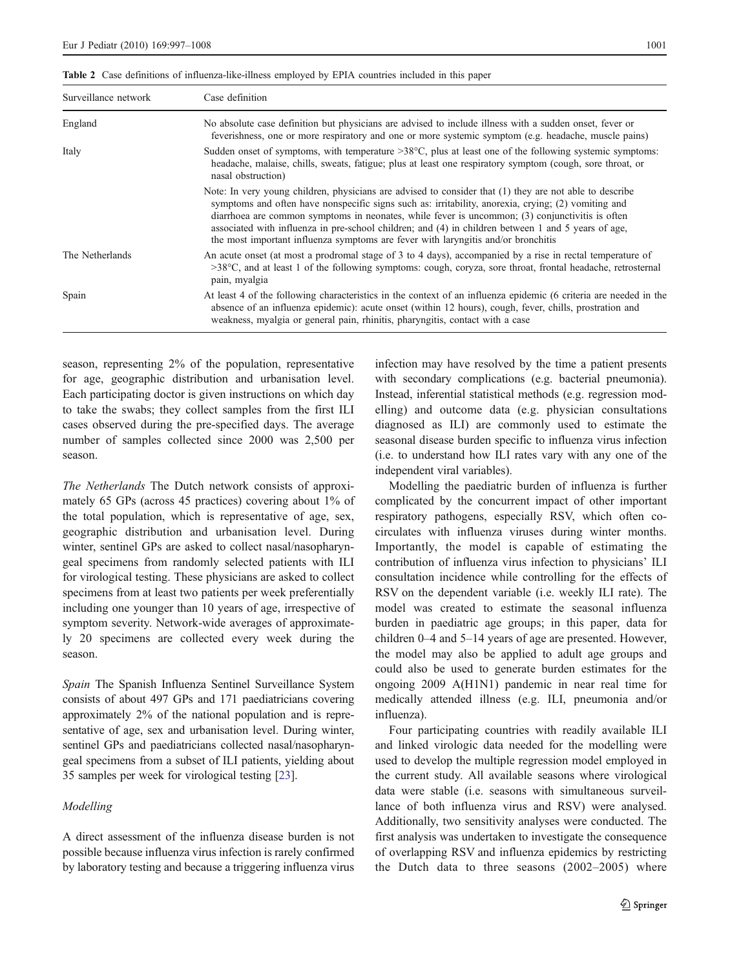| Surveillance network | Case definition                                                                                                                                                                                                                                                                                                                                                                                                                                                                                               |  |  |  |  |  |  |
|----------------------|---------------------------------------------------------------------------------------------------------------------------------------------------------------------------------------------------------------------------------------------------------------------------------------------------------------------------------------------------------------------------------------------------------------------------------------------------------------------------------------------------------------|--|--|--|--|--|--|
| England              | No absolute case definition but physicians are advised to include illness with a sudden onset, fever or<br>feverishness, one or more respiratory and one or more systemic symptom (e.g. headache, muscle pains)                                                                                                                                                                                                                                                                                               |  |  |  |  |  |  |
| Italy                | Sudden onset of symptoms, with temperature $>38^{\circ}$ C, plus at least one of the following systemic symptoms:<br>headache, malaise, chills, sweats, fatigue; plus at least one respiratory symptom (cough, sore throat, or<br>nasal obstruction)                                                                                                                                                                                                                                                          |  |  |  |  |  |  |
|                      | Note: In very young children, physicians are advised to consider that (1) they are not able to describe<br>symptoms and often have nonspecific signs such as: irritability, anorexia, crying; (2) vomiting and<br>diarrhoea are common symptoms in neonates, while fever is uncommon; (3) conjunctivitis is often<br>associated with influenza in pre-school children; and (4) in children between 1 and 5 years of age,<br>the most important influenza symptoms are fever with laryngitis and/or bronchitis |  |  |  |  |  |  |
| The Netherlands      | An acute onset (at most a prodromal stage of 3 to 4 days), accompanied by a rise in rectal temperature of<br>$>38^{\circ}$ C, and at least 1 of the following symptoms: cough, coryza, sore throat, frontal headache, retrosternal<br>pain, myalgia                                                                                                                                                                                                                                                           |  |  |  |  |  |  |
| Spain                | At least 4 of the following characteristics in the context of an influenza epidemic (6 criteria are needed in the<br>absence of an influenza epidemic): acute onset (within 12 hours), cough, fever, chills, prostration and<br>weakness, myalgia or general pain, rhinitis, pharyngitis, contact with a case                                                                                                                                                                                                 |  |  |  |  |  |  |

<span id="page-4-0"></span>Table 2 Case definitions of influenza-like-illness employed by EPIA countries included in this paper

season, representing 2% of the population, representative for age, geographic distribution and urbanisation level. Each participating doctor is given instructions on which day to take the swabs; they collect samples from the first ILI cases observed during the pre-specified days. The average number of samples collected since 2000 was 2,500 per season.

The Netherlands The Dutch network consists of approximately 65 GPs (across 45 practices) covering about 1% of the total population, which is representative of age, sex, geographic distribution and urbanisation level. During winter, sentinel GPs are asked to collect nasal/nasopharyngeal specimens from randomly selected patients with ILI for virological testing. These physicians are asked to collect specimens from at least two patients per week preferentially including one younger than 10 years of age, irrespective of symptom severity. Network-wide averages of approximately 20 specimens are collected every week during the season.

Spain The Spanish Influenza Sentinel Surveillance System consists of about 497 GPs and 171 paediatricians covering approximately 2% of the national population and is representative of age, sex and urbanisation level. During winter, sentinel GPs and paediatricians collected nasal/nasopharyngeal specimens from a subset of ILI patients, yielding about 35 samples per week for virological testing [[23](#page-10-0)].

#### Modelling

A direct assessment of the influenza disease burden is not possible because influenza virus infection is rarely confirmed by laboratory testing and because a triggering influenza virus infection may have resolved by the time a patient presents with secondary complications (e.g. bacterial pneumonia). Instead, inferential statistical methods (e.g. regression modelling) and outcome data (e.g. physician consultations diagnosed as ILI) are commonly used to estimate the seasonal disease burden specific to influenza virus infection (i.e. to understand how ILI rates vary with any one of the independent viral variables).

Modelling the paediatric burden of influenza is further complicated by the concurrent impact of other important respiratory pathogens, especially RSV, which often cocirculates with influenza viruses during winter months. Importantly, the model is capable of estimating the contribution of influenza virus infection to physicians' ILI consultation incidence while controlling for the effects of RSV on the dependent variable (i.e. weekly ILI rate). The model was created to estimate the seasonal influenza burden in paediatric age groups; in this paper, data for children 0–4 and 5–14 years of age are presented. However, the model may also be applied to adult age groups and could also be used to generate burden estimates for the ongoing 2009 A(H1N1) pandemic in near real time for medically attended illness (e.g. ILI, pneumonia and/or influenza).

Four participating countries with readily available ILI and linked virologic data needed for the modelling were used to develop the multiple regression model employed in the current study. All available seasons where virological data were stable (i.e. seasons with simultaneous surveillance of both influenza virus and RSV) were analysed. Additionally, two sensitivity analyses were conducted. The first analysis was undertaken to investigate the consequence of overlapping RSV and influenza epidemics by restricting the Dutch data to three seasons (2002–2005) where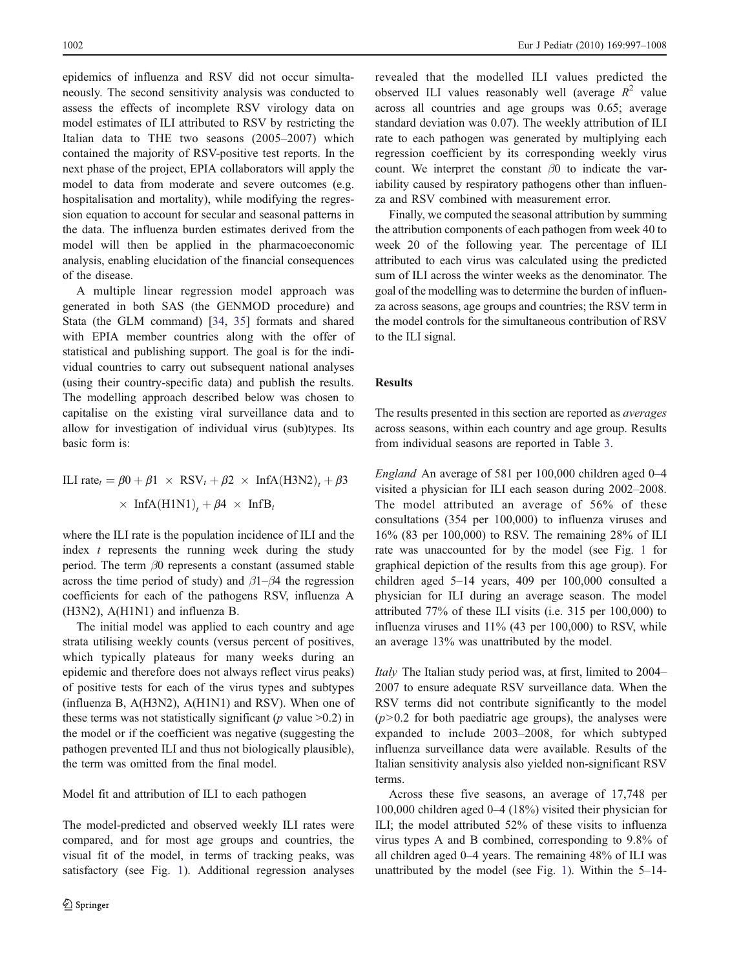epidemics of influenza and RSV did not occur simultaneously. The second sensitivity analysis was conducted to assess the effects of incomplete RSV virology data on model estimates of ILI attributed to RSV by restricting the Italian data to THE two seasons (2005–2007) which contained the majority of RSV-positive test reports. In the next phase of the project, EPIA collaborators will apply the model to data from moderate and severe outcomes (e.g. hospitalisation and mortality), while modifying the regression equation to account for secular and seasonal patterns in the data. The influenza burden estimates derived from the model will then be applied in the pharmacoeconomic analysis, enabling elucidation of the financial consequences of the disease.

A multiple linear regression model approach was generated in both SAS (the GENMOD procedure) and Stata (the GLM command) [\[34](#page-11-0), [35\]](#page-11-0) formats and shared with EPIA member countries along with the offer of statistical and publishing support. The goal is for the individual countries to carry out subsequent national analyses (using their country-specific data) and publish the results. The modelling approach described below was chosen to capitalise on the existing viral surveillance data and to allow for investigation of individual virus (sub)types. Its basic form is:

$$
\text{ILI rate}_{t} = \beta 0 + \beta 1 \times \text{RSV}_{t} + \beta 2 \times \text{InfA(H3N2)}_{t} + \beta 3
$$

$$
\times \text{InfA(H1N1)}_{t} + \beta 4 \times \text{InfB}_{t}
$$

where the ILI rate is the population incidence of ILI and the index  $t$  represents the running week during the study period. The term β0 represents a constant (assumed stable across the time period of study) and  $\beta$ 1– $\beta$ 4 the regression coefficients for each of the pathogens RSV, influenza A (H3N2), A(H1N1) and influenza B.

The initial model was applied to each country and age strata utilising weekly counts (versus percent of positives, which typically plateaus for many weeks during an epidemic and therefore does not always reflect virus peaks) of positive tests for each of the virus types and subtypes (influenza B, A(H3N2), A(H1N1) and RSV). When one of these terms was not statistically significant ( $p$  value  $>0.2$ ) in the model or if the coefficient was negative (suggesting the pathogen prevented ILI and thus not biologically plausible), the term was omitted from the final model.

Model fit and attribution of ILI to each pathogen

The model-predicted and observed weekly ILI rates were compared, and for most age groups and countries, the visual fit of the model, in terms of tracking peaks, was satisfactory (see Fig. [1\)](#page-6-0). Additional regression analyses revealed that the modelled ILI values predicted the observed ILI values reasonably well (average  $R^2$  value across all countries and age groups was 0.65; average standard deviation was 0.07). The weekly attribution of ILI rate to each pathogen was generated by multiplying each regression coefficient by its corresponding weekly virus count. We interpret the constant  $\beta$ 0 to indicate the variability caused by respiratory pathogens other than influenza and RSV combined with measurement error.

Finally, we computed the seasonal attribution by summing the attribution components of each pathogen from week 40 to week 20 of the following year. The percentage of ILI attributed to each virus was calculated using the predicted sum of ILI across the winter weeks as the denominator. The goal of the modelling was to determine the burden of influenza across seasons, age groups and countries; the RSV term in the model controls for the simultaneous contribution of RSV to the ILI signal.

# Results

The results presented in this section are reported as averages across seasons, within each country and age group. Results from individual seasons are reported in Table [3.](#page-7-0)

England An average of 581 per 100,000 children aged 0–4 visited a physician for ILI each season during 2002–2008. The model attributed an average of 56% of these consultations (354 per 100,000) to influenza viruses and 16% (83 per 100,000) to RSV. The remaining 28% of ILI rate was unaccounted for by the model (see Fig. [1](#page-6-0) for graphical depiction of the results from this age group). For children aged 5–14 years, 409 per 100,000 consulted a physician for ILI during an average season. The model attributed 77% of these ILI visits (i.e. 315 per 100,000) to influenza viruses and 11% (43 per 100,000) to RSV, while an average 13% was unattributed by the model.

Italy The Italian study period was, at first, limited to 2004– 2007 to ensure adequate RSV surveillance data. When the RSV terms did not contribute significantly to the model  $(p>0.2$  for both paediatric age groups), the analyses were expanded to include 2003–2008, for which subtyped influenza surveillance data were available. Results of the Italian sensitivity analysis also yielded non-significant RSV terms.

Across these five seasons, an average of 17,748 per 100,000 children aged 0–4 (18%) visited their physician for ILI; the model attributed 52% of these visits to influenza virus types A and B combined, corresponding to 9.8% of all children aged 0–4 years. The remaining 48% of ILI was unattributed by the model (see Fig. [1](#page-6-0)). Within the 5–14-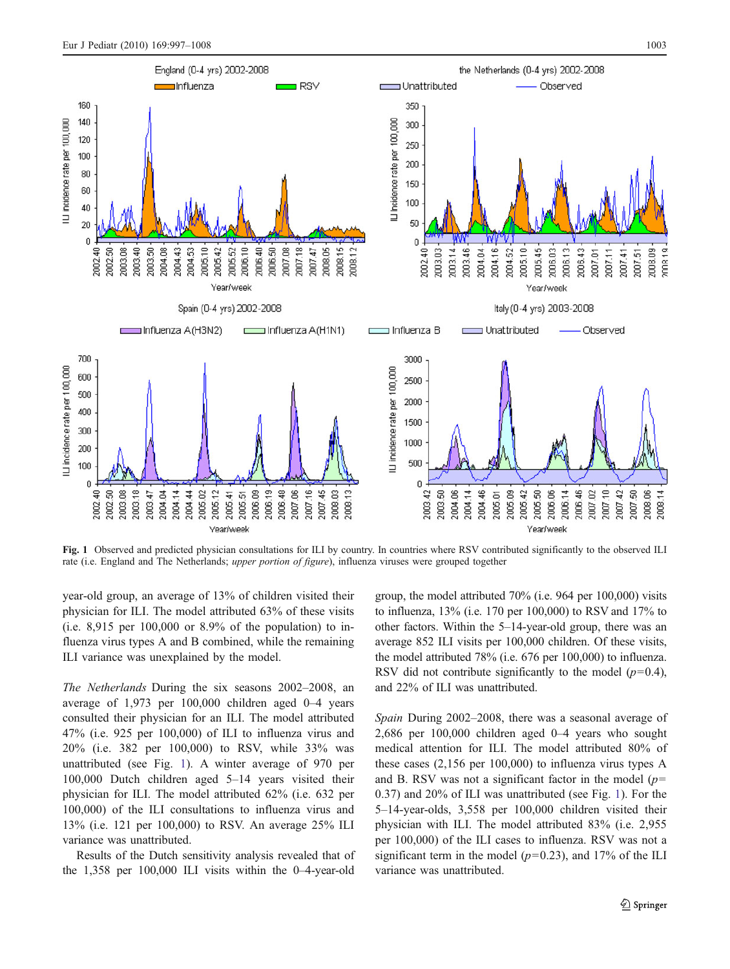<span id="page-6-0"></span>

Fig. 1 Observed and predicted physician consultations for ILI by country. In countries where RSV contributed significantly to the observed ILI rate (i.e. England and The Netherlands; *upper portion of figure*), influenza viruses were grouped together

year-old group, an average of 13% of children visited their physician for ILI. The model attributed 63% of these visits (i.e.  $8,915$  per  $100,000$  or  $8.9\%$  of the population) to influenza virus types A and B combined, while the remaining ILI variance was unexplained by the model.

The Netherlands During the six seasons 2002–2008, an average of 1,973 per 100,000 children aged 0–4 years consulted their physician for an ILI. The model attributed 47% (i.e. 925 per 100,000) of ILI to influenza virus and 20% (i.e. 382 per 100,000) to RSV, while 33% was unattributed (see Fig. 1). A winter average of 970 per 100,000 Dutch children aged 5–14 years visited their physician for ILI. The model attributed 62% (i.e. 632 per 100,000) of the ILI consultations to influenza virus and 13% (i.e. 121 per 100,000) to RSV. An average 25% ILI variance was unattributed.

Results of the Dutch sensitivity analysis revealed that of the 1,358 per 100,000 ILI visits within the 0–4-year-old

group, the model attributed 70% (i.e. 964 per 100,000) visits to influenza, 13% (i.e. 170 per 100,000) to RSV and 17% to other factors. Within the 5–14-year-old group, there was an average 852 ILI visits per 100,000 children. Of these visits, the model attributed 78% (i.e. 676 per 100,000) to influenza. RSV did not contribute significantly to the model  $(p=0.4)$ , and 22% of ILI was unattributed.

Spain During 2002–2008, there was a seasonal average of 2,686 per 100,000 children aged 0–4 years who sought medical attention for ILI. The model attributed 80% of these cases (2,156 per 100,000) to influenza virus types A and B. RSV was not a significant factor in the model  $(p=$ 0.37) and 20% of ILI was unattributed (see Fig. 1). For the 5–14-year-olds, 3,558 per 100,000 children visited their physician with ILI. The model attributed 83% (i.e. 2,955 per 100,000) of the ILI cases to influenza. RSV was not a significant term in the model ( $p=0.23$ ), and 17% of the ILI variance was unattributed.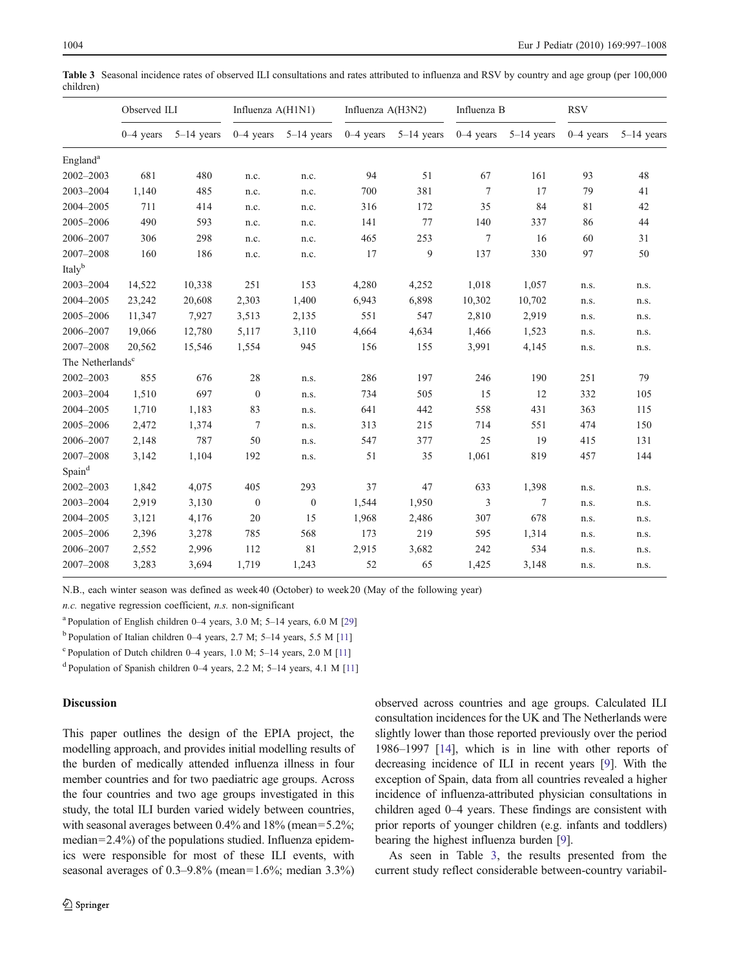<span id="page-7-0"></span>Table 3 Seasonal incidence rates of observed ILI consultations and rates attributed to influenza and RSV by country and age group (per 100,000) children)

|                              | Observed ILI  |              | Influenza A(H1N1) |                  | Influenza A(H3N2) |              | Influenza B   |              | <b>RSV</b>  |              |
|------------------------------|---------------|--------------|-------------------|------------------|-------------------|--------------|---------------|--------------|-------------|--------------|
|                              | $0 - 4$ years | $5-14$ years | $0 - 4$ years     | $5-14$ years     | $0-4$ years       | $5-14$ years | $0 - 4$ years | $5-14$ years | $0-4$ years | $5-14$ years |
| England <sup>a</sup>         |               |              |                   |                  |                   |              |               |              |             |              |
| 2002-2003                    | 681           | 480          | n.c.              | n.c.             | 94                | 51           | 67            | 161          | 93          | 48           |
| 2003-2004                    | 1,140         | 485          | n.c.              | n.c.             | 700               | 381          | 7             | 17           | 79          | 41           |
| 2004-2005                    | 711           | 414          | n.c.              | n.c.             | 316               | 172          | 35            | 84           | 81          | 42           |
| 2005-2006                    | 490           | 593          | n.c.              | n.c.             | 141               | 77           | 140           | 337          | 86          | 44           |
| 2006-2007                    | 306           | 298          | n.c.              | n.c.             | 465               | 253          | $\tau$        | 16           | 60          | 31           |
| 2007-2008                    | 160           | 186          | n.c.              | n.c.             | 17                | 9            | 137           | 330          | 97          | 50           |
| Italy <sup>b</sup>           |               |              |                   |                  |                   |              |               |              |             |              |
| 2003-2004                    | 14,522        | 10,338       | 251               | 153              | 4,280             | 4,252        | 1,018         | 1,057        | n.s.        | n.s.         |
| 2004-2005                    | 23,242        | 20,608       | 2,303             | 1,400            | 6,943             | 6,898        | 10,302        | 10,702       | n.s.        | n.s.         |
| 2005-2006                    | 11,347        | 7,927        | 3,513             | 2,135            | 551               | 547          | 2,810         | 2,919        | n.s.        | n.s.         |
| 2006-2007                    | 19,066        | 12,780       | 5,117             | 3,110            | 4,664             | 4,634        | 1,466         | 1,523        | n.s.        | n.s.         |
| 2007-2008                    | 20,562        | 15,546       | 1,554             | 945              | 156               | 155          | 3,991         | 4,145        | n.s.        | n.s.         |
| The Netherlands <sup>c</sup> |               |              |                   |                  |                   |              |               |              |             |              |
| 2002-2003                    | 855           | 676          | 28                | n.s.             | 286               | 197          | 246           | 190          | 251         | 79           |
| 2003-2004                    | 1,510         | 697          | $\boldsymbol{0}$  | n.s.             | 734               | 505          | 15            | 12           | 332         | 105          |
| 2004-2005                    | 1,710         | 1,183        | 83                | n.s.             | 641               | 442          | 558           | 431          | 363         | 115          |
| 2005-2006                    | 2,472         | 1,374        | 7                 | n.s.             | 313               | 215          | 714           | 551          | 474         | 150          |
| 2006-2007                    | 2,148         | 787          | 50                | n.s.             | 547               | 377          | 25            | 19           | 415         | 131          |
| 2007-2008                    | 3,142         | 1,104        | 192               | n.s.             | 51                | 35           | 1,061         | 819          | 457         | 144          |
| Spain <sup>d</sup>           |               |              |                   |                  |                   |              |               |              |             |              |
| 2002-2003                    | 1,842         | 4,075        | 405               | 293              | 37                | 47           | 633           | 1,398        | n.s.        | n.s.         |
| 2003-2004                    | 2,919         | 3,130        | $\boldsymbol{0}$  | $\boldsymbol{0}$ | 1,544             | 1,950        | 3             | $\tau$       | n.s.        | n.s.         |
| 2004-2005                    | 3,121         | 4,176        | 20                | 15               | 1,968             | 2,486        | 307           | 678          | n.s.        | n.s.         |
| 2005-2006                    | 2,396         | 3,278        | 785               | 568              | 173               | 219          | 595           | 1,314        | n.s.        | n.s.         |
| 2006-2007                    | 2,552         | 2,996        | 112               | 81               | 2,915             | 3,682        | 242           | 534          | n.s.        | n.s.         |
| 2007-2008                    | 3,283         | 3,694        | 1,719             | 1,243            | 52                | 65           | 1,425         | 3,148        | n.s.        | n.s.         |

N.B., each winter season was defined as week40 (October) to week20 (May of the following year)

n.c. negative regression coefficient, n.s. non-significant

<sup>a</sup> Population of English children 0–4 years, 3.0 M; 5–14 years, 6.0 M [[29\]](#page-11-0)

<sup>b</sup> Population of Italian children 0–4 years, 2.7 M; 5–14 years, 5.5 M [\[11\]](#page-10-0)

c Population of Dutch children 0–4 years, 1.0 M; 5–14 years, 2.0 M [\[11\]](#page-10-0)

<sup>d</sup> Population of Spanish children 0–4 years, 2.2 M; 5–14 years, 4.1 M [\[11\]](#page-10-0)

## Discussion

This paper outlines the design of the EPIA project, the modelling approach, and provides initial modelling results of the burden of medically attended influenza illness in four member countries and for two paediatric age groups. Across the four countries and two age groups investigated in this study, the total ILI burden varied widely between countries, with seasonal averages between 0.4% and 18% (mean=5.2%; median=2.4%) of the populations studied. Influenza epidemics were responsible for most of these ILI events, with seasonal averages of 0.3–9.8% (mean=1.6%; median 3.3%) observed across countries and age groups. Calculated ILI consultation incidences for the UK and The Netherlands were slightly lower than those reported previously over the period 1986–1997 [[14](#page-10-0)], which is in line with other reports of decreasing incidence of ILI in recent years [\[9](#page-10-0)]. With the exception of Spain, data from all countries revealed a higher incidence of influenza-attributed physician consultations in children aged 0–4 years. These findings are consistent with prior reports of younger children (e.g. infants and toddlers) bearing the highest influenza burden [\[9](#page-10-0)].

As seen in Table 3, the results presented from the current study reflect considerable between-country variabil-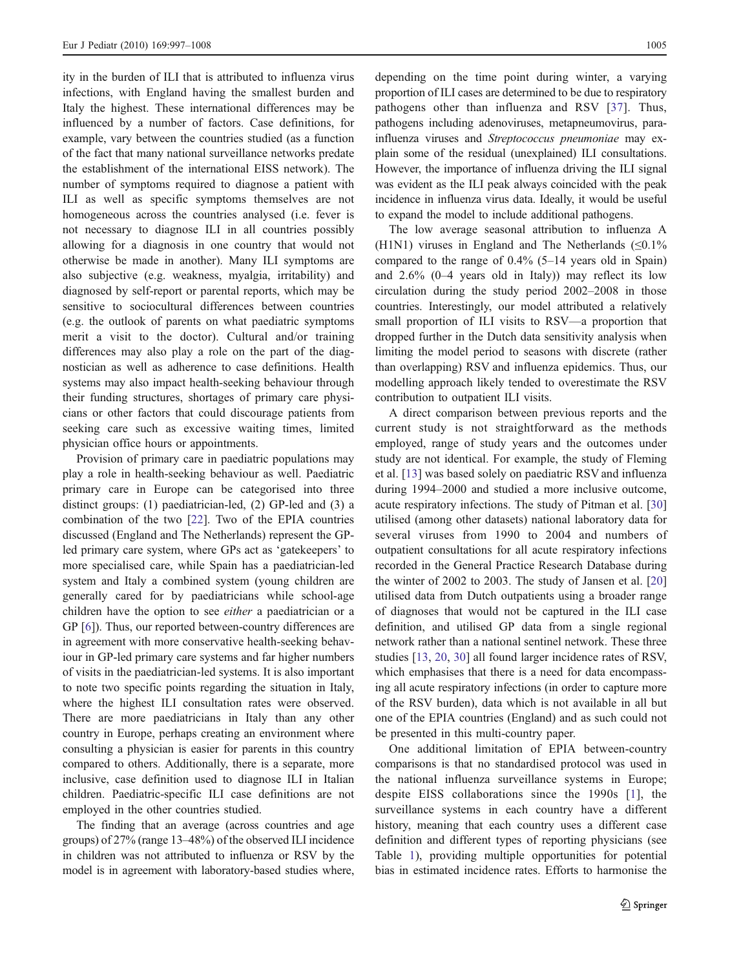ity in the burden of ILI that is attributed to influenza virus infections, with England having the smallest burden and Italy the highest. These international differences may be influenced by a number of factors. Case definitions, for example, vary between the countries studied (as a function of the fact that many national surveillance networks predate the establishment of the international EISS network). The number of symptoms required to diagnose a patient with ILI as well as specific symptoms themselves are not homogeneous across the countries analysed (i.e. fever is not necessary to diagnose ILI in all countries possibly allowing for a diagnosis in one country that would not otherwise be made in another). Many ILI symptoms are also subjective (e.g. weakness, myalgia, irritability) and diagnosed by self-report or parental reports, which may be sensitive to sociocultural differences between countries (e.g. the outlook of parents on what paediatric symptoms merit a visit to the doctor). Cultural and/or training differences may also play a role on the part of the diagnostician as well as adherence to case definitions. Health systems may also impact health-seeking behaviour through their funding structures, shortages of primary care physicians or other factors that could discourage patients from seeking care such as excessive waiting times, limited physician office hours or appointments.

Provision of primary care in paediatric populations may play a role in health-seeking behaviour as well. Paediatric primary care in Europe can be categorised into three distinct groups: (1) paediatrician-led, (2) GP-led and (3) a combination of the two [[22\]](#page-10-0). Two of the EPIA countries discussed (England and The Netherlands) represent the GPled primary care system, where GPs act as 'gatekeepers' to more specialised care, while Spain has a paediatrician-led system and Italy a combined system (young children are generally cared for by paediatricians while school-age children have the option to see either a paediatrician or a GP [[6](#page-10-0)]). Thus, our reported between-country differences are in agreement with more conservative health-seeking behaviour in GP-led primary care systems and far higher numbers of visits in the paediatrician-led systems. It is also important to note two specific points regarding the situation in Italy, where the highest ILI consultation rates were observed. There are more paediatricians in Italy than any other country in Europe, perhaps creating an environment where consulting a physician is easier for parents in this country compared to others. Additionally, there is a separate, more inclusive, case definition used to diagnose ILI in Italian children. Paediatric-specific ILI case definitions are not employed in the other countries studied.

The finding that an average (across countries and age groups) of 27% (range 13–48%) of the observed ILI incidence in children was not attributed to influenza or RSV by the model is in agreement with laboratory-based studies where, depending on the time point during winter, a varying proportion of ILI cases are determined to be due to respiratory pathogens other than influenza and RSV [[37\]](#page-11-0). Thus, pathogens including adenoviruses, metapneumovirus, parainfluenza viruses and Streptococcus pneumoniae may explain some of the residual (unexplained) ILI consultations. However, the importance of influenza driving the ILI signal was evident as the ILI peak always coincided with the peak incidence in influenza virus data. Ideally, it would be useful to expand the model to include additional pathogens.

The low average seasonal attribution to influenza A (H1N1) viruses in England and The Netherlands  $\leq 0.1\%$ compared to the range of 0.4% (5–14 years old in Spain) and 2.6% (0–4 years old in Italy)) may reflect its low circulation during the study period 2002–2008 in those countries. Interestingly, our model attributed a relatively small proportion of ILI visits to RSV—a proportion that dropped further in the Dutch data sensitivity analysis when limiting the model period to seasons with discrete (rather than overlapping) RSV and influenza epidemics. Thus, our modelling approach likely tended to overestimate the RSV contribution to outpatient ILI visits.

A direct comparison between previous reports and the current study is not straightforward as the methods employed, range of study years and the outcomes under study are not identical. For example, the study of Fleming et al. [\[13](#page-10-0)] was based solely on paediatric RSV and influenza during 1994–2000 and studied a more inclusive outcome, acute respiratory infections. The study of Pitman et al. [\[30](#page-11-0)] utilised (among other datasets) national laboratory data for several viruses from 1990 to 2004 and numbers of outpatient consultations for all acute respiratory infections recorded in the General Practice Research Database during the winter of 2002 to 2003. The study of Jansen et al. [\[20](#page-10-0)] utilised data from Dutch outpatients using a broader range of diagnoses that would not be captured in the ILI case definition, and utilised GP data from a single regional network rather than a national sentinel network. These three studies [[13,](#page-10-0) [20,](#page-10-0) [30](#page-11-0)] all found larger incidence rates of RSV, which emphasises that there is a need for data encompassing all acute respiratory infections (in order to capture more of the RSV burden), data which is not available in all but one of the EPIA countries (England) and as such could not be presented in this multi-country paper.

One additional limitation of EPIA between-country comparisons is that no standardised protocol was used in the national influenza surveillance systems in Europe; despite EISS collaborations since the 1990s [\[1](#page-10-0)], the surveillance systems in each country have a different history, meaning that each country uses a different case definition and different types of reporting physicians (see Table [1\)](#page-3-0), providing multiple opportunities for potential bias in estimated incidence rates. Efforts to harmonise the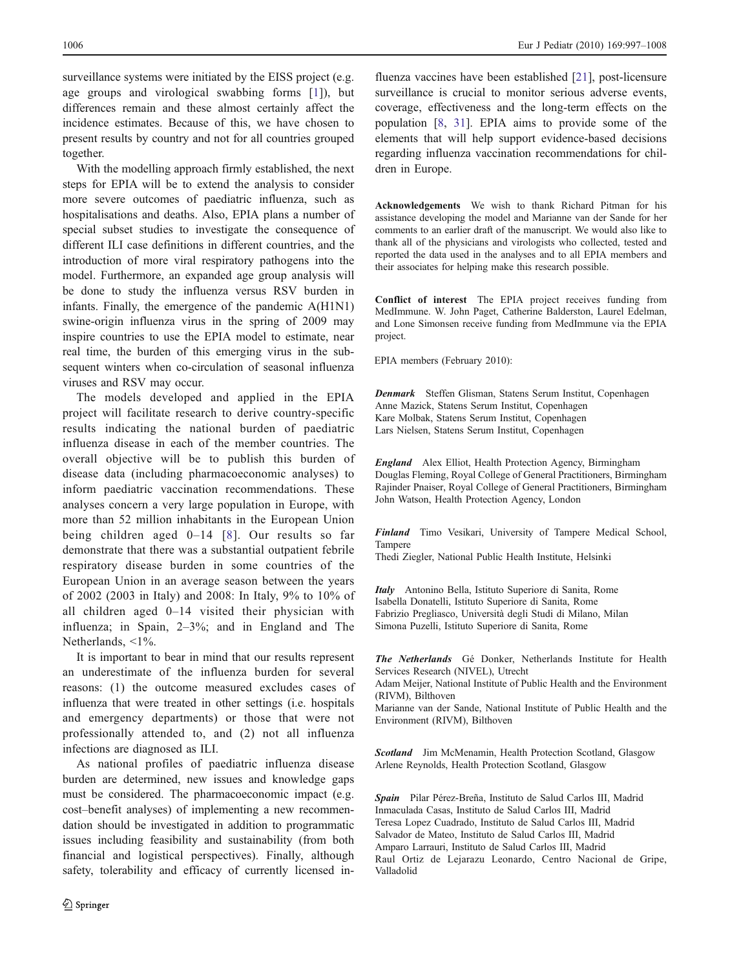surveillance systems were initiated by the EISS project (e.g. age groups and virological swabbing forms [\[1\]](#page-10-0)), but differences remain and these almost certainly affect the incidence estimates. Because of this, we have chosen to present results by country and not for all countries grouped together.

With the modelling approach firmly established, the next steps for EPIA will be to extend the analysis to consider more severe outcomes of paediatric influenza, such as hospitalisations and deaths. Also, EPIA plans a number of special subset studies to investigate the consequence of different ILI case definitions in different countries, and the introduction of more viral respiratory pathogens into the model. Furthermore, an expanded age group analysis will be done to study the influenza versus RSV burden in infants. Finally, the emergence of the pandemic A(H1N1) swine-origin influenza virus in the spring of 2009 may inspire countries to use the EPIA model to estimate, near real time, the burden of this emerging virus in the subsequent winters when co-circulation of seasonal influenza viruses and RSV may occur.

The models developed and applied in the EPIA project will facilitate research to derive country-specific results indicating the national burden of paediatric influenza disease in each of the member countries. The overall objective will be to publish this burden of disease data (including pharmacoeconomic analyses) to inform paediatric vaccination recommendations. These analyses concern a very large population in Europe, with more than 52 million inhabitants in the European Union being children aged 0–14 [[8](#page-10-0)]. Our results so far demonstrate that there was a substantial outpatient febrile respiratory disease burden in some countries of the European Union in an average season between the years of 2002 (2003 in Italy) and 2008: In Italy, 9% to 10% of all children aged 0–14 visited their physician with influenza; in Spain, 2–3%; and in England and The Netherlands, <1%.

It is important to bear in mind that our results represent an underestimate of the influenza burden for several reasons: (1) the outcome measured excludes cases of influenza that were treated in other settings (i.e. hospitals and emergency departments) or those that were not professionally attended to, and (2) not all influenza infections are diagnosed as ILI.

As national profiles of paediatric influenza disease burden are determined, new issues and knowledge gaps must be considered. The pharmacoeconomic impact (e.g. cost–benefit analyses) of implementing a new recommendation should be investigated in addition to programmatic issues including feasibility and sustainability (from both financial and logistical perspectives). Finally, although safety, tolerability and efficacy of currently licensed in-

fluenza vaccines have been established [[21\]](#page-10-0), post-licensure surveillance is crucial to monitor serious adverse events, coverage, effectiveness and the long-term effects on the population [\[8](#page-10-0), [31](#page-11-0)]. EPIA aims to provide some of the elements that will help support evidence-based decisions regarding influenza vaccination recommendations for children in Europe.

Acknowledgements We wish to thank Richard Pitman for his assistance developing the model and Marianne van der Sande for her comments to an earlier draft of the manuscript. We would also like to thank all of the physicians and virologists who collected, tested and reported the data used in the analyses and to all EPIA members and their associates for helping make this research possible.

Conflict of interest The EPIA project receives funding from MedImmune. W. John Paget, Catherine Balderston, Laurel Edelman, and Lone Simonsen receive funding from MedImmune via the EPIA project.

EPIA members (February 2010):

Denmark Steffen Glisman, Statens Serum Institut, Copenhagen Anne Mazick, Statens Serum Institut, Copenhagen Kare Molbak, Statens Serum Institut, Copenhagen Lars Nielsen, Statens Serum Institut, Copenhagen

England Alex Elliot, Health Protection Agency, Birmingham Douglas Fleming, Royal College of General Practitioners, Birmingham Rajinder Pnaiser, Royal College of General Practitioners, Birmingham John Watson, Health Protection Agency, London

Finland Timo Vesikari, University of Tampere Medical School, Tampere

Thedi Ziegler, National Public Health Institute, Helsinki

Italy Antonino Bella, Istituto Superiore di Sanita, Rome Isabella Donatelli, Istituto Superiore di Sanita, Rome Fabrizio Pregliasco, Università degli Studi di Milano, Milan Simona Puzelli, Istituto Superiore di Sanita, Rome

The Netherlands Gé Donker, Netherlands Institute for Health Services Research (NIVEL), Utrecht

Adam Meijer, National Institute of Public Health and the Environment (RIVM), Bilthoven

Marianne van der Sande, National Institute of Public Health and the Environment (RIVM), Bilthoven

Scotland Jim McMenamin, Health Protection Scotland, Glasgow Arlene Reynolds, Health Protection Scotland, Glasgow

Spain Pilar Pérez-Breña, Instituto de Salud Carlos III, Madrid Inmaculada Casas, Instituto de Salud Carlos III, Madrid Teresa Lopez Cuadrado, Instituto de Salud Carlos III, Madrid Salvador de Mateo, Instituto de Salud Carlos III, Madrid Amparo Larrauri, Instituto de Salud Carlos III, Madrid Raul Ortiz de Lejarazu Leonardo, Centro Nacional de Gripe, Valladolid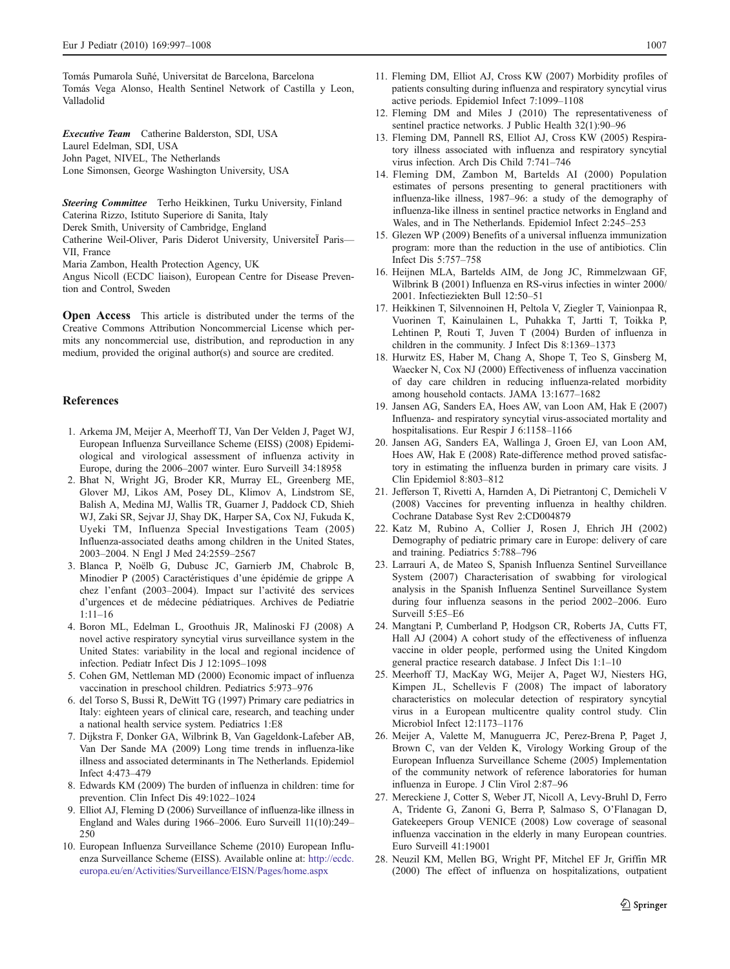<span id="page-10-0"></span>Tomás Pumarola Suñé, Universitat de Barcelona, Barcelona Tomás Vega Alonso, Health Sentinel Network of Castilla y Leon, Valladolid

Executive Team Catherine Balderston, SDI, USA Laurel Edelman, SDI, USA John Paget, NIVEL, The Netherlands Lone Simonsen, George Washington University, USA

Steering Committee Terho Heikkinen, Turku University, Finland Caterina Rizzo, Istituto Superiore di Sanita, Italy Derek Smith, University of Cambridge, England Catherine Weil-Oliver, Paris Diderot University, UniversiteÏ Paris-VII, France

Maria Zambon, Health Protection Agency, UK

Angus Nicoll (ECDC liaison), European Centre for Disease Prevention and Control, Sweden

Open Access This article is distributed under the terms of the Creative Commons Attribution Noncommercial License which permits any noncommercial use, distribution, and reproduction in any medium, provided the original author(s) and source are credited.

# **References**

- 1. Arkema JM, Meijer A, Meerhoff TJ, Van Der Velden J, Paget WJ, European Influenza Surveillance Scheme (EISS) (2008) Epidemiological and virological assessment of influenza activity in Europe, during the 2006–2007 winter. Euro Surveill 34:18958
- 2. Bhat N, Wright JG, Broder KR, Murray EL, Greenberg ME, Glover MJ, Likos AM, Posey DL, Klimov A, Lindstrom SE, Balish A, Medina MJ, Wallis TR, Guarner J, Paddock CD, Shieh WJ, Zaki SR, Sejvar JJ, Shay DK, Harper SA, Cox NJ, Fukuda K, Uyeki TM, Influenza Special Investigations Team (2005) Influenza-associated deaths among children in the United States, 2003–2004. N Engl J Med 24:2559–2567
- 3. Blanca P, Noëlb G, Dubusc JC, Garnierb JM, Chabrolc B, Minodier P (2005) Caractéristiques d'une épidémie de grippe A chez l'enfant (2003–2004). Impact sur l'activité des services d'urgences et de médecine pédiatriques. Archives de Pediatrie 1:11–16
- 4. Boron ML, Edelman L, Groothuis JR, Malinoski FJ (2008) A novel active respiratory syncytial virus surveillance system in the United States: variability in the local and regional incidence of infection. Pediatr Infect Dis J 12:1095–1098
- 5. Cohen GM, Nettleman MD (2000) Economic impact of influenza vaccination in preschool children. Pediatrics 5:973–976
- 6. del Torso S, Bussi R, DeWitt TG (1997) Primary care pediatrics in Italy: eighteen years of clinical care, research, and teaching under a national health service system. Pediatrics 1:E8
- 7. Dijkstra F, Donker GA, Wilbrink B, Van Gageldonk-Lafeber AB, Van Der Sande MA (2009) Long time trends in influenza-like illness and associated determinants in The Netherlands. Epidemiol Infect 4:473–479
- 8. Edwards KM (2009) The burden of influenza in children: time for prevention. Clin Infect Dis 49:1022–1024
- 9. Elliot AJ, Fleming D (2006) Surveillance of influenza-like illness in England and Wales during 1966–2006. Euro Surveill 11(10):249– 250
- 10. European Influenza Surveillance Scheme (2010) European Influenza Surveillance Scheme (EISS). Available online at: [http://ecdc.](http://ecdc.europa.eu/en/Activities/Surveillance/EISN/Pages/home.aspx) [europa.eu/en/Activities/Surveillance/EISN/Pages/home.aspx](http://ecdc.europa.eu/en/Activities/Surveillance/EISN/Pages/home.aspx)
- 11. Fleming DM, Elliot AJ, Cross KW (2007) Morbidity profiles of patients consulting during influenza and respiratory syncytial virus active periods. Epidemiol Infect 7:1099–1108
- 12. Fleming DM and Miles J (2010) The representativeness of sentinel practice networks. J Public Health 32(1):90–96
- 13. Fleming DM, Pannell RS, Elliot AJ, Cross KW (2005) Respiratory illness associated with influenza and respiratory syncytial virus infection. Arch Dis Child 7:741–746
- 14. Fleming DM, Zambon M, Bartelds AI (2000) Population estimates of persons presenting to general practitioners with influenza-like illness, 1987–96: a study of the demography of influenza-like illness in sentinel practice networks in England and Wales, and in The Netherlands. Epidemiol Infect 2:245–253
- 15. Glezen WP (2009) Benefits of a universal influenza immunization program: more than the reduction in the use of antibiotics. Clin Infect Dis 5:757–758
- 16. Heijnen MLA, Bartelds AIM, de Jong JC, Rimmelzwaan GF, Wilbrink B (2001) Influenza en RS-virus infecties in winter 2000/ 2001. Infectieziekten Bull 12:50–51
- 17. Heikkinen T, Silvennoinen H, Peltola V, Ziegler T, Vainionpaa R, Vuorinen T, Kainulainen L, Puhakka T, Jartti T, Toikka P, Lehtinen P, Routi T, Juven T (2004) Burden of influenza in children in the community. J Infect Dis 8:1369–1373
- 18. Hurwitz ES, Haber M, Chang A, Shope T, Teo S, Ginsberg M, Waecker N, Cox NJ (2000) Effectiveness of influenza vaccination of day care children in reducing influenza-related morbidity among household contacts. JAMA 13:1677–1682
- 19. Jansen AG, Sanders EA, Hoes AW, van Loon AM, Hak E (2007) Influenza- and respiratory syncytial virus-associated mortality and hospitalisations. Eur Respir J 6:1158–1166
- 20. Jansen AG, Sanders EA, Wallinga J, Groen EJ, van Loon AM, Hoes AW, Hak E (2008) Rate-difference method proved satisfactory in estimating the influenza burden in primary care visits. J Clin Epidemiol 8:803–812
- 21. Jefferson T, Rivetti A, Harnden A, Di Pietrantonj C, Demicheli V (2008) Vaccines for preventing influenza in healthy children. Cochrane Database Syst Rev 2:CD004879
- 22. Katz M, Rubino A, Collier J, Rosen J, Ehrich JH (2002) Demography of pediatric primary care in Europe: delivery of care and training. Pediatrics 5:788–796
- 23. Larrauri A, de Mateo S, Spanish Influenza Sentinel Surveillance System (2007) Characterisation of swabbing for virological analysis in the Spanish Influenza Sentinel Surveillance System during four influenza seasons in the period 2002–2006. Euro Surveill 5:E5–E6
- 24. Mangtani P, Cumberland P, Hodgson CR, Roberts JA, Cutts FT, Hall AJ (2004) A cohort study of the effectiveness of influenza vaccine in older people, performed using the United Kingdom general practice research database. J Infect Dis 1:1–10
- 25. Meerhoff TJ, MacKay WG, Meijer A, Paget WJ, Niesters HG, Kimpen JL, Schellevis F (2008) The impact of laboratory characteristics on molecular detection of respiratory syncytial virus in a European multicentre quality control study. Clin Microbiol Infect 12:1173–1176
- 26. Meijer A, Valette M, Manuguerra JC, Perez-Brena P, Paget J, Brown C, van der Velden K, Virology Working Group of the European Influenza Surveillance Scheme (2005) Implementation of the community network of reference laboratories for human influenza in Europe. J Clin Virol 2:87–96
- 27. Mereckiene J, Cotter S, Weber JT, Nicoll A, Levy-Bruhl D, Ferro A, Tridente G, Zanoni G, Berra P, Salmaso S, O'Flanagan D, Gatekeepers Group VENICE (2008) Low coverage of seasonal influenza vaccination in the elderly in many European countries. Euro Surveill 41:19001
- 28. Neuzil KM, Mellen BG, Wright PF, Mitchel EF Jr, Griffin MR (2000) The effect of influenza on hospitalizations, outpatient